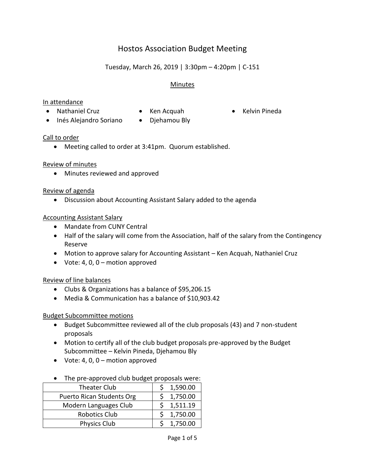# Hostos Association Budget Meeting

# Tuesday, March 26, 2019 | 3:30pm – 4:20pm | C-151

## Minutes

#### In attendance

- Nathaniel Cruz Ken Acquah Kelvin Pineda
	-
- 
- Inés Alejandro Soriano Djehamou Bly
- 

### Call to order

Meeting called to order at 3:41pm. Quorum established.

### Review of minutes

Minutes reviewed and approved

### Review of agenda

Discussion about Accounting Assistant Salary added to the agenda

### Accounting Assistant Salary

- Mandate from CUNY Central
- Half of the salary will come from the Association, half of the salary from the Contingency Reserve
- Motion to approve salary for Accounting Assistant Ken Acquah, Nathaniel Cruz
- $\bullet$  Vote: 4, 0, 0 motion approved

## Review of line balances

- Clubs & Organizations has a balance of \$95,206.15
- Media & Communication has a balance of \$10,903.42

### Budget Subcommittee motions

- Budget Subcommittee reviewed all of the club proposals (43) and 7 non-student proposals
- Motion to certify all of the club budget proposals pre-approved by the Budget Subcommittee – Kelvin Pineda, Djehamou Bly
- $\bullet$  Vote: 4, 0, 0 motion approved

### • The pre-approved club budget proposals were:

| <b>Theater Club</b>              | 1,590.00 |
|----------------------------------|----------|
| <b>Puerto Rican Students Org</b> | 1,750.00 |
| Modern Languages Club            | 1,511.19 |
| <b>Robotics Club</b>             | 1,750.00 |
| Physics Club                     | 1,750.00 |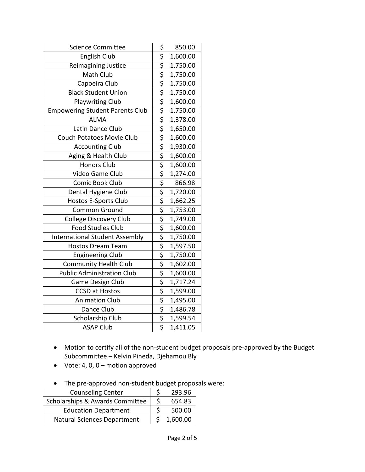| <b>Science Committee</b>               | 850.00   |
|----------------------------------------|----------|
| <b>English Club</b>                    | 1,600.00 |
| Reimagining Justice                    | 1,750.00 |
| Math Club                              | 1,750.00 |
| Capoeira Club                          | 1,750.00 |
| <b>Black Student Union</b>             | 1,750.00 |
| <b>Playwriting Club</b>                | 1,600.00 |
| <b>Empowering Student Parents Club</b> | 1,750.00 |
| <b>ALMA</b>                            | 1,378.00 |
| Latin Dance Club                       | 1,650.00 |
| Couch Potatoes Movie Club              | 1,600.00 |
| <b>Accounting Club</b>                 | 1,930.00 |
| Aging & Health Club                    | 1,600.00 |
| <b>Honors Club</b>                     | 1,600.00 |
| Video Game Club                        | 1,274.00 |
| Comic Book Club                        | 866.98   |
| Dental Hygiene Club                    | 1,720.00 |
| <b>Hostos E-Sports Club</b>            | 1,662.25 |
| Common Ground                          | 1,753.00 |
| <b>College Discovery Club</b>          | 1,749.00 |
| <b>Food Studies Club</b>               | 1,600.00 |
| <b>International Student Assembly</b>  | 1,750.00 |
| <b>Hostos Dream Team</b>               | 1,597.50 |
| <b>Engineering Club</b>                | 1,750.00 |
| <b>Community Health Club</b>           | 1,602.00 |
| <b>Public Administration Club</b>      | 1,600.00 |
| Game Design Club                       | 1,717.24 |
| <b>CCSD at Hostos</b>                  | 1,599.00 |
| <b>Animation Club</b>                  | 1,495.00 |
| Dance Club                             | 1,486.78 |
| Scholarship Club                       | 1,599.54 |
| <b>ASAP Club</b>                       | 1,411.05 |

- Motion to certify all of the non-student budget proposals pre-approved by the Budget Subcommittee – Kelvin Pineda, Djehamou Bly
- $\bullet$  Vote: 4, 0, 0 motion approved
- The pre-approved non-student budget proposals were:

| <b>Counseling Center</b>           | 293.96   |
|------------------------------------|----------|
| Scholarships & Awards Committee    | 654.83   |
| <b>Education Department</b>        | 500.00   |
| <b>Natural Sciences Department</b> | 1,600.00 |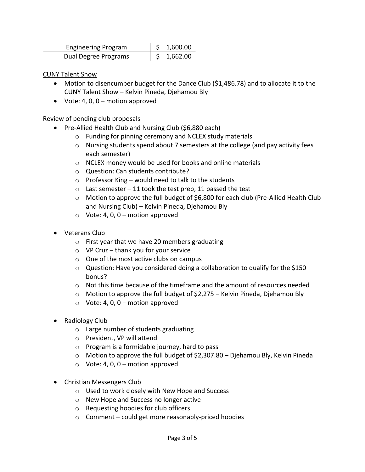| <b>Engineering Program</b> | \$1,600.00 |
|----------------------------|------------|
| Dual Degree Programs       | 1,662.00   |

#### CUNY Talent Show

- Motion to disencumber budget for the Dance Club (\$1,486.78) and to allocate it to the CUNY Talent Show – Kelvin Pineda, Djehamou Bly
- Vote: 4, 0,  $0 -$  motion approved

### Review of pending club proposals

- Pre-Allied Health Club and Nursing Club (\$6,880 each)
	- o Funding for pinning ceremony and NCLEX study materials
	- o Nursing students spend about 7 semesters at the college (and pay activity fees each semester)
	- o NCLEX money would be used for books and online materials
	- o Question: Can students contribute?
	- $\circ$  Professor King would need to talk to the students
	- $\circ$  Last semester 11 took the test prep, 11 passed the test
	- $\circ$  Motion to approve the full budget of \$6,800 for each club (Pre-Allied Health Club and Nursing Club) – Kelvin Pineda, Djehamou Bly
	- $\circ$  Vote: 4, 0, 0 motion approved
- Veterans Club
	- o First year that we have 20 members graduating
	- $\circ$  VP Cruz thank you for your service
	- o One of the most active clubs on campus
	- $\circ$  Question: Have you considered doing a collaboration to qualify for the \$150 bonus?
	- $\circ$  Not this time because of the timeframe and the amount of resources needed
	- o Motion to approve the full budget of \$2,275 Kelvin Pineda, Djehamou Bly
	- $\circ$  Vote: 4, 0, 0 motion approved
- Radiology Club
	- o Large number of students graduating
	- o President, VP will attend
	- o Program is a formidable journey, hard to pass
	- $\circ$  Motion to approve the full budget of \$2,307.80 Diehamou Bly, Kelvin Pineda
	- $\circ$  Vote: 4, 0, 0 motion approved
- Christian Messengers Club
	- o Used to work closely with New Hope and Success
	- o New Hope and Success no longer active
	- o Requesting hoodies for club officers
	- o Comment could get more reasonably-priced hoodies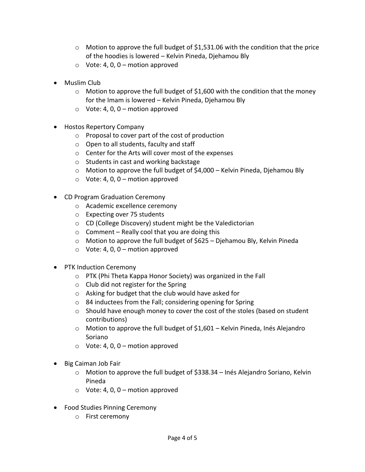- $\circ$  Motion to approve the full budget of \$1,531.06 with the condition that the price of the hoodies is lowered – Kelvin Pineda, Djehamou Bly
- $\circ$  Vote: 4, 0, 0 motion approved
- Muslim Club
	- o Motion to approve the full budget of \$1,600 with the condition that the money for the Imam is lowered – Kelvin Pineda, Djehamou Bly
	- $\circ$  Vote: 4, 0, 0 motion approved
- Hostos Repertory Company
	- o Proposal to cover part of the cost of production
	- o Open to all students, faculty and staff
	- o Center for the Arts will cover most of the expenses
	- o Students in cast and working backstage
	- o Motion to approve the full budget of \$4,000 Kelvin Pineda, Djehamou Bly
	- $\circ$  Vote: 4, 0, 0 motion approved
- CD Program Graduation Ceremony
	- o Academic excellence ceremony
	- o Expecting over 75 students
	- o CD (College Discovery) student might be the Valedictorian
	- $\circ$  Comment Really cool that you are doing this
	- o Motion to approve the full budget of \$625 Djehamou Bly, Kelvin Pineda
	- $\circ$  Vote: 4, 0, 0 motion approved
- PTK Induction Ceremony
	- o PTK (Phi Theta Kappa Honor Society) was organized in the Fall
	- o Club did not register for the Spring
	- o Asking for budget that the club would have asked for
	- o 84 inductees from the Fall; considering opening for Spring
	- o Should have enough money to cover the cost of the stoles (based on student contributions)
	- $\circ$  Motion to approve the full budget of \$1,601 Kelvin Pineda, Inés Alejandro Soriano
	- $\circ$  Vote: 4, 0, 0 motion approved
- Big Caiman Job Fair
	- $\circ$  Motion to approve the full budget of \$338.34 Inés Alejandro Soriano, Kelvin Pineda
	- $\circ$  Vote: 4, 0, 0 motion approved
- Food Studies Pinning Ceremony
	- o First ceremony